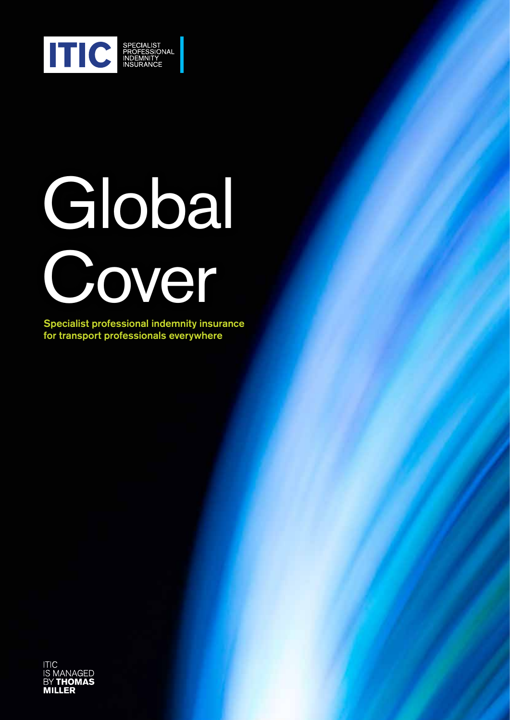

# Global Cover

Specialist professional indemnity insurance for transport professionals everywhere

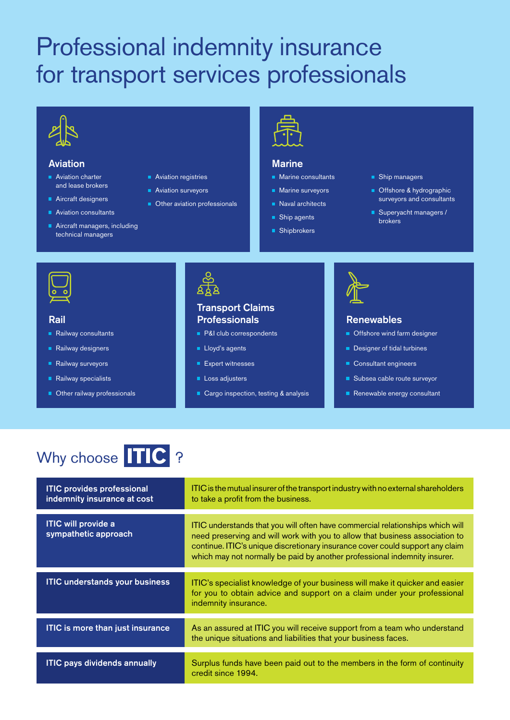# Professional indemnity insurance for transport services professionals



### Aviation

- Aviation charter and lease brokers
- Aircraft designers
- **Aviation consultants**
- Aircraft managers, including technical managers
- **Aviation registries**
- **Aviation surveyors**
- **Other aviation professionals**



#### **Marine**

- Marine consultants
- **Marine surveyors**
- Naval architects
- Ship agents
- Shipbrokers
- **Ship managers**
- Offshore & hydrographic surveyors and consultants
- Superyacht managers / brokers



- Railway consultants
- Railway designers
- Railway surveyors
- Railway specialists
- Other railway professionals



## Rail Renewables Professionals Transport Claims

- **P&I** club correspondents
- **Lloyd's agents**
- **Expert witnesses**
- Loss adjusters
- Cargo inspection, testing & analysis



- **Offshore wind farm designer**
- Designer of tidal turbines
- Consultant engineers
- Subsea cable route surveyor
- Renewable energy consultant

# Why choose **TIC** ?

| <b>ITIC provides professional</b><br>indemnity insurance at cost | ITIC is the mutual insurer of the transport industry with no external shareholders<br>to take a profit from the business.                                                                                                                                                                                                   |
|------------------------------------------------------------------|-----------------------------------------------------------------------------------------------------------------------------------------------------------------------------------------------------------------------------------------------------------------------------------------------------------------------------|
| <b>ITIC will provide a</b><br>sympathetic approach               | ITIC understands that you will often have commercial relationships which will<br>need preserving and will work with you to allow that business association to<br>continue. ITIC's unique discretionary insurance cover could support any claim<br>which may not normally be paid by another professional indemnity insurer. |
| <b>ITIC understands your business</b>                            | ITIC's specialist knowledge of your business will make it quicker and easier<br>for you to obtain advice and support on a claim under your professional<br>indemnity insurance.                                                                                                                                             |
| <b>ITIC is more than just insurance</b>                          | As an assured at ITIC you will receive support from a team who understand<br>the unique situations and liabilities that your business faces.                                                                                                                                                                                |
| <b>ITIC pays dividends annually</b>                              | Surplus funds have been paid out to the members in the form of continuity<br>credit since 1994.                                                                                                                                                                                                                             |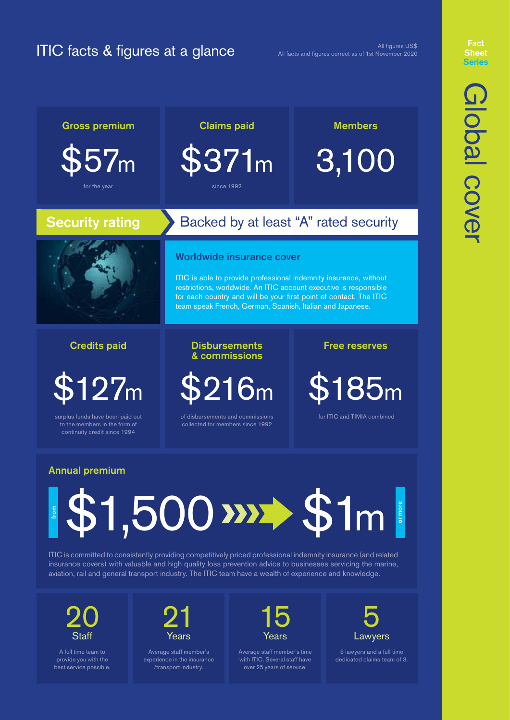# ITIC facts & figures at a glance

All figures US\$ All facts and figures correct as of 1st November 2020

# **Fact** Series

7m \$371m 3,100 for the year since 1992

# Security rating Backed by at least "A" rated security

# Worldwide insurance cover

Gross premium Claims paid Members

ITIC is able to provide professional indemnity insurance, without restrictions, worldwide. An ITIC account executive is responsible for each country and will be your first point of contact. The ITIC team speak French, German, Spanish, Italian and Japanese.

## Credits paid

\$127m

surplus funds have been paid out continuity credit since 1994

#### Disbursements Free reserves & commissions

\$216m \$185m

collected for members since 1992

for ITIC and TIMIA combined

# Annual premium

# $$1,500$   $$\mathcal{F}1$$ or more or more from

ITIC is committed to consistently providing competitively priced professional indemnity insurance (and related insurance covers) with valuable and high quality loss prevention advice to businesses servicing the marine, aviation, rail and general transport industry. The ITIC team have a wealth of experience and knowledge.

20 **Staff** 

A full time team to provide you with the best service possible.



Average staff member's experience in the insurance /transport industry.



Average staff member's time with ITIC. Several staff have over 25 years of service.



5 lawyers and a full time